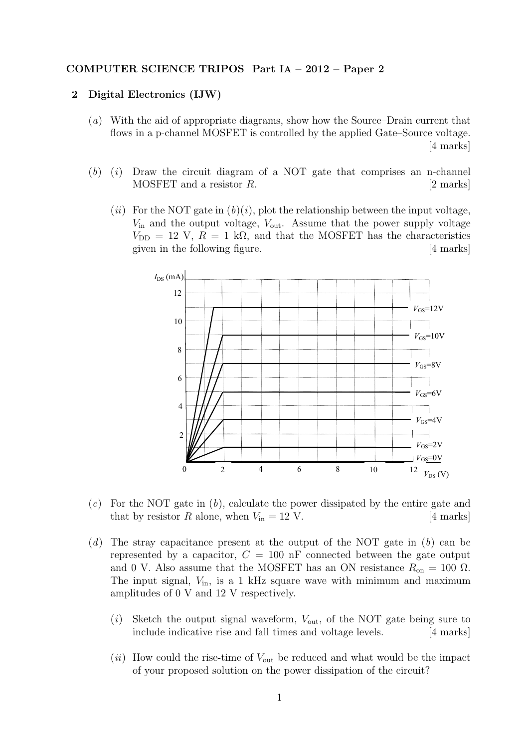## COMPUTER SCIENCE TRIPOS Part IA – 2012 – Paper 2

## 2 Digital Electronics (IJW)

- (a) With the aid of appropriate diagrams, show how the Source–Drain current that flows in a p-channel MOSFET is controlled by the applied Gate–Source voltage. [4 marks]
- $(b)$  (i) Draw the circuit diagram of a NOT gate that comprises an n-channel  $MOSFET$  and a resistor R. [2 marks]
	- (ii) For the NOT gate in  $(b)(i)$ , plot the relationship between the input voltage,  $V_{\text{in}}$  and the output voltage,  $V_{\text{out}}$ . Assume that the power supply voltage  $V_{\text{DD}} = 12 \text{ V}, R = 1 \text{ k}\Omega$ , and that the MOSFET has the characteristics given in the following figure. [4 marks]



- $(c)$  For the NOT gate in  $(b)$ , calculate the power dissipated by the entire gate and that by resistor R alone, when  $V_{\text{in}} = 12 \text{ V}$ . [4 marks]
- (d) The stray capacitance present at the output of the NOT gate in  $(b)$  can be represented by a capacitor,  $C = 100$  nF connected between the gate output and 0 V. Also assume that the MOSFET has an ON resistance  $R_{\rm on} = 100 \Omega$ . The input signal,  $V_{\text{in}}$ , is a 1 kHz square wave with minimum and maximum amplitudes of 0 V and 12 V respectively.
	- (i) Sketch the output signal waveform,  $V_{\text{out}}$ , of the NOT gate being sure to include indicative rise and fall times and voltage levels. [4 marks]
	- $(ii)$  How could the rise-time of  $V_{\text{out}}$  be reduced and what would be the impact of your proposed solution on the power dissipation of the circuit?